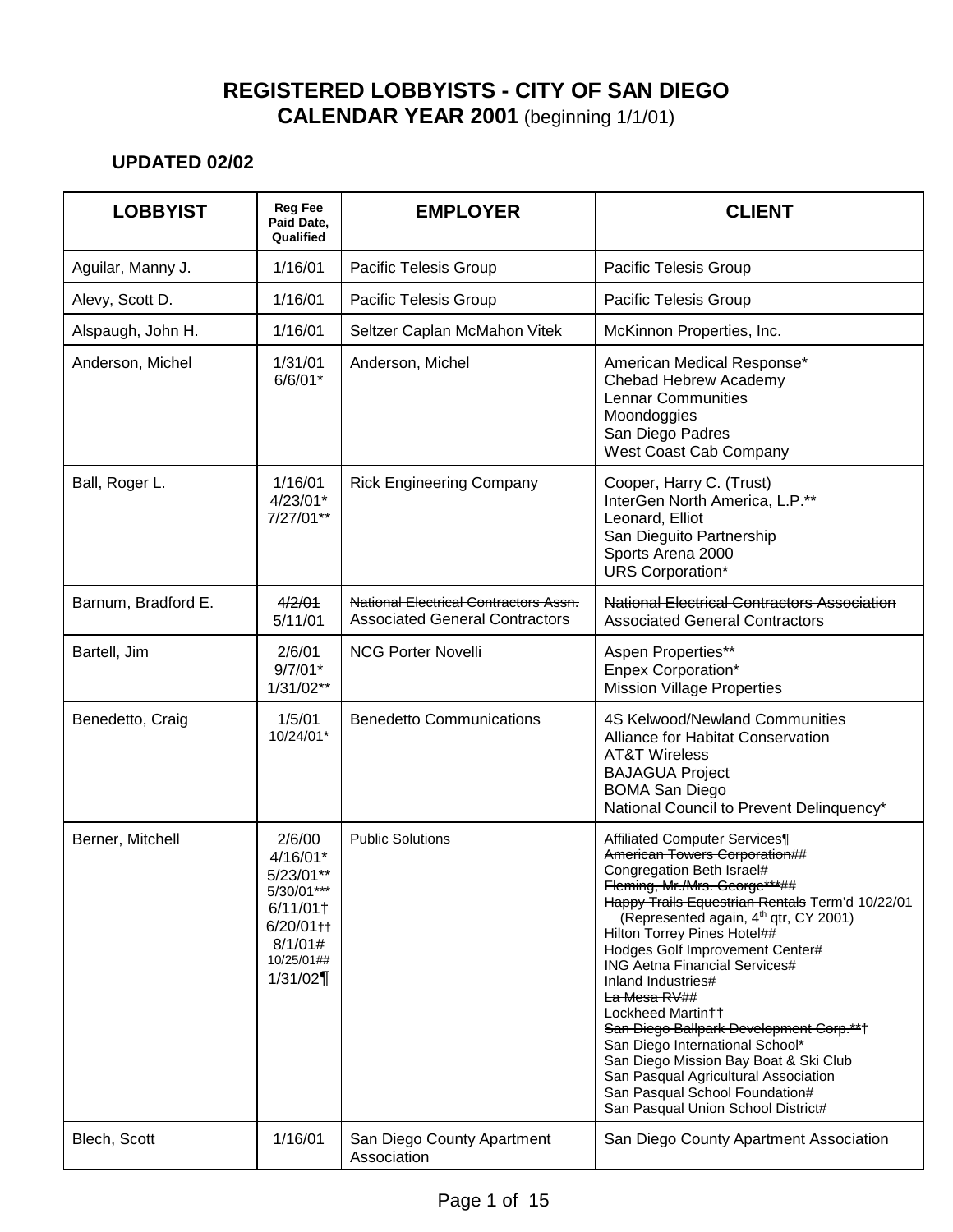| <b>LOBBYIST</b>     | <b>Reg Fee</b><br>Paid Date,<br>Qualified                                                                                 | <b>EMPLOYER</b>                                                                       | <b>CLIENT</b>                                                                                                                                                                                                                                                                                                                                                                                                                                                                                                                                                                                                                                                |
|---------------------|---------------------------------------------------------------------------------------------------------------------------|---------------------------------------------------------------------------------------|--------------------------------------------------------------------------------------------------------------------------------------------------------------------------------------------------------------------------------------------------------------------------------------------------------------------------------------------------------------------------------------------------------------------------------------------------------------------------------------------------------------------------------------------------------------------------------------------------------------------------------------------------------------|
| Aguilar, Manny J.   | 1/16/01                                                                                                                   | Pacific Telesis Group                                                                 | Pacific Telesis Group                                                                                                                                                                                                                                                                                                                                                                                                                                                                                                                                                                                                                                        |
| Alevy, Scott D.     | 1/16/01                                                                                                                   | Pacific Telesis Group                                                                 | Pacific Telesis Group                                                                                                                                                                                                                                                                                                                                                                                                                                                                                                                                                                                                                                        |
| Alspaugh, John H.   | 1/16/01                                                                                                                   | Seltzer Caplan McMahon Vitek                                                          | McKinnon Properties, Inc.                                                                                                                                                                                                                                                                                                                                                                                                                                                                                                                                                                                                                                    |
| Anderson, Michel    | 1/31/01<br>$6/6/01*$                                                                                                      | Anderson, Michel                                                                      | American Medical Response*<br>Chebad Hebrew Academy<br><b>Lennar Communities</b><br>Moondoggies<br>San Diego Padres<br>West Coast Cab Company                                                                                                                                                                                                                                                                                                                                                                                                                                                                                                                |
| Ball, Roger L.      | 1/16/01<br>$4/23/01*$<br>7/27/01**                                                                                        | <b>Rick Engineering Company</b>                                                       | Cooper, Harry C. (Trust)<br>InterGen North America, L.P.**<br>Leonard, Elliot<br>San Dieguito Partnership<br>Sports Arena 2000<br><b>URS</b> Corporation*                                                                                                                                                                                                                                                                                                                                                                                                                                                                                                    |
| Barnum, Bradford E. | 4/2/01<br>5/11/01                                                                                                         | <b>National Electrical Contractors Assn.</b><br><b>Associated General Contractors</b> | <b>National Electrical Contractors Association</b><br><b>Associated General Contractors</b>                                                                                                                                                                                                                                                                                                                                                                                                                                                                                                                                                                  |
| Bartell, Jim        | 2/6/01<br>$9/7/01*$<br>$1/31/02**$                                                                                        | <b>NCG Porter Novelli</b>                                                             | Aspen Properties**<br>Enpex Corporation*<br><b>Mission Village Properties</b>                                                                                                                                                                                                                                                                                                                                                                                                                                                                                                                                                                                |
| Benedetto, Craig    | 1/5/01<br>10/24/01*                                                                                                       | <b>Benedetto Communications</b>                                                       | 4S Kelwood/Newland Communities<br>Alliance for Habitat Conservation<br><b>AT&amp;T Wireless</b><br><b>BAJAGUA Project</b><br><b>BOMA San Diego</b><br>National Council to Prevent Delinquency*                                                                                                                                                                                                                                                                                                                                                                                                                                                               |
| Berner, Mitchell    | 2/6/00<br>$4/16/01*$<br>5/23/01**<br>5/30/01***<br>6/11/01<br>$6/20/01$ <sup>++</sup><br>8/1/01#<br>10/25/01##<br>1/31/02 | <b>Public Solutions</b>                                                               | Affiliated Computer Services¶<br>American Towers Corporation##<br>Congregation Beth Israel#<br>Fleming, Mr./Mrs. George***##<br>Happy Trails Equestrian Rentals Term'd 10/22/01<br>(Represented again, 4 <sup>th</sup> qtr, CY 2001)<br>Hilton Torrey Pines Hotel##<br>Hodges Golf Improvement Center#<br><b>ING Aetna Financial Services#</b><br>Inland Industries#<br><del>La Mesa RV</del> ##<br>Lockheed Martin††<br>San Diego Ballpark Development Corp.**†<br>San Diego International School*<br>San Diego Mission Bay Boat & Ski Club<br>San Pasqual Agricultural Association<br>San Pasqual School Foundation#<br>San Pasqual Union School District# |
| Blech, Scott        | 1/16/01                                                                                                                   | San Diego County Apartment<br>Association                                             | San Diego County Apartment Association                                                                                                                                                                                                                                                                                                                                                                                                                                                                                                                                                                                                                       |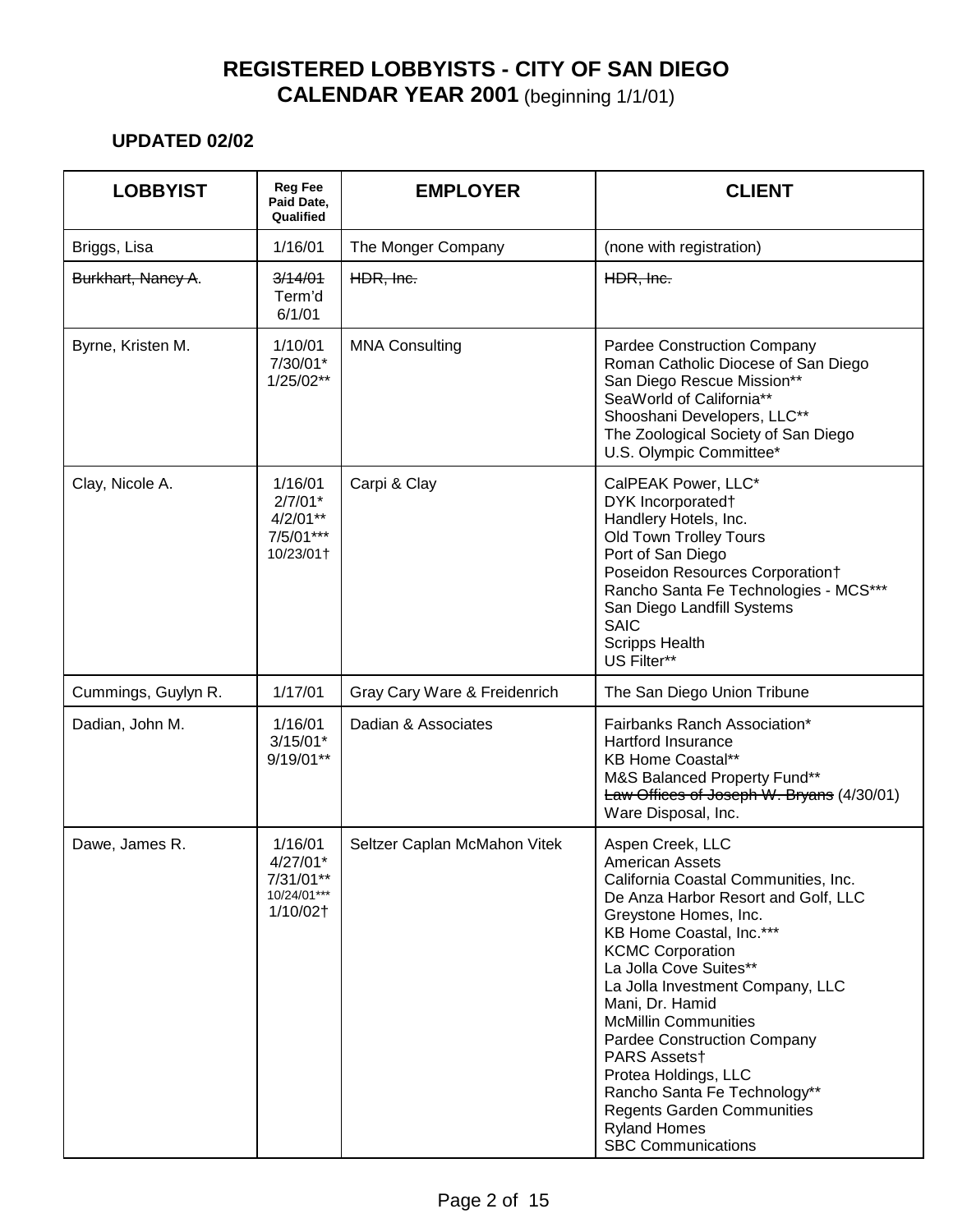| <b>LOBBYIST</b>     | <b>Reg Fee</b><br>Paid Date,<br>Qualified                     | <b>EMPLOYER</b>              | <b>CLIENT</b>                                                                                                                                                                                                                                                                                                                                                                                                                                                                                                                    |
|---------------------|---------------------------------------------------------------|------------------------------|----------------------------------------------------------------------------------------------------------------------------------------------------------------------------------------------------------------------------------------------------------------------------------------------------------------------------------------------------------------------------------------------------------------------------------------------------------------------------------------------------------------------------------|
| Briggs, Lisa        | 1/16/01                                                       | The Monger Company           | (none with registration)                                                                                                                                                                                                                                                                                                                                                                                                                                                                                                         |
| Burkhart, Nancy A.  | 3/14/01<br>Term'd<br>6/1/01                                   | HDR, Inc.                    | HDR, Inc.                                                                                                                                                                                                                                                                                                                                                                                                                                                                                                                        |
| Byrne, Kristen M.   | 1/10/01<br>7/30/01*<br>$1/25/02**$                            | <b>MNA Consulting</b>        | <b>Pardee Construction Company</b><br>Roman Catholic Diocese of San Diego<br>San Diego Rescue Mission**<br>SeaWorld of California**<br>Shooshani Developers, LLC**<br>The Zoological Society of San Diego<br>U.S. Olympic Committee*                                                                                                                                                                                                                                                                                             |
| Clay, Nicole A.     | 1/16/01<br>$2/7/01*$<br>4/2/01**<br>7/5/01***<br>10/23/01+    | Carpi & Clay                 | CalPEAK Power, LLC*<br>DYK Incorporated†<br>Handlery Hotels, Inc.<br>Old Town Trolley Tours<br>Port of San Diego<br>Poseidon Resources Corporation†<br>Rancho Santa Fe Technologies - MCS***<br>San Diego Landfill Systems<br><b>SAIC</b><br><b>Scripps Health</b><br>US Filter**                                                                                                                                                                                                                                                |
| Cummings, Guylyn R. | 1/17/01                                                       | Gray Cary Ware & Freidenrich | The San Diego Union Tribune                                                                                                                                                                                                                                                                                                                                                                                                                                                                                                      |
| Dadian, John M.     | 1/16/01<br>$3/15/01*$<br>9/19/01**                            | Dadian & Associates          | Fairbanks Ranch Association*<br><b>Hartford Insurance</b><br><b>KB Home Coastal**</b><br>M&S Balanced Property Fund**<br>Law Offices of Joseph W. Bryans (4/30/01)<br>Ware Disposal, Inc.                                                                                                                                                                                                                                                                                                                                        |
| Dawe, James R.      | 1/16/01<br>4/27/01*<br>7/31/01**<br>$10/24/01***$<br>1/10/02† | Seltzer Caplan McMahon Vitek | Aspen Creek, LLC<br><b>American Assets</b><br>California Coastal Communities, Inc.<br>De Anza Harbor Resort and Golf, LLC<br>Greystone Homes, Inc.<br>KB Home Coastal, Inc.***<br><b>KCMC Corporation</b><br>La Jolla Cove Suites**<br>La Jolla Investment Company, LLC<br>Mani, Dr. Hamid<br><b>McMillin Communities</b><br><b>Pardee Construction Company</b><br>PARS Assetst<br>Protea Holdings, LLC<br>Rancho Santa Fe Technology**<br><b>Regents Garden Communities</b><br><b>Ryland Homes</b><br><b>SBC Communications</b> |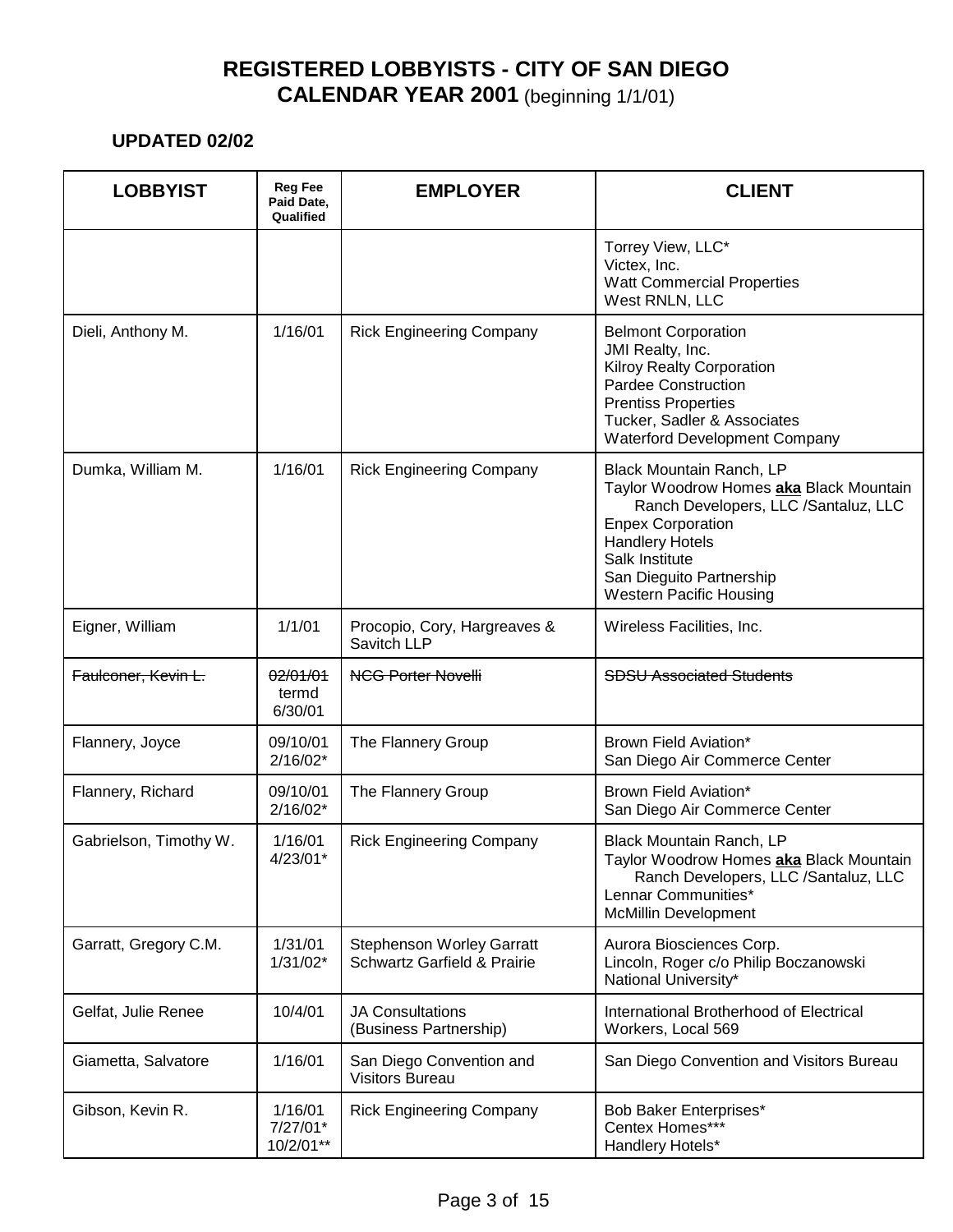| <b>LOBBYIST</b>        | <b>Reg Fee</b><br>Paid Date,<br>Qualified | <b>EMPLOYER</b>                                                            | <b>CLIENT</b>                                                                                                                                                                                                                                     |
|------------------------|-------------------------------------------|----------------------------------------------------------------------------|---------------------------------------------------------------------------------------------------------------------------------------------------------------------------------------------------------------------------------------------------|
|                        |                                           |                                                                            | Torrey View, LLC*<br>Victex, Inc.<br><b>Watt Commercial Properties</b><br>West RNLN, LLC                                                                                                                                                          |
| Dieli, Anthony M.      | 1/16/01                                   | <b>Rick Engineering Company</b>                                            | <b>Belmont Corporation</b><br>JMI Realty, Inc.<br><b>Kilroy Realty Corporation</b><br>Pardee Construction<br><b>Prentiss Properties</b><br>Tucker, Sadler & Associates<br><b>Waterford Development Company</b>                                    |
| Dumka, William M.      | 1/16/01                                   | <b>Rick Engineering Company</b>                                            | Black Mountain Ranch, LP<br>Taylor Woodrow Homes aka Black Mountain<br>Ranch Developers, LLC /Santaluz, LLC<br><b>Enpex Corporation</b><br><b>Handlery Hotels</b><br>Salk Institute<br>San Dieguito Partnership<br><b>Western Pacific Housing</b> |
| Eigner, William        | 1/1/01                                    | Procopio, Cory, Hargreaves &<br>Savitch LLP                                | Wireless Facilities, Inc.                                                                                                                                                                                                                         |
| Faulconer, Kevin L.    | 02/01/01<br>termd<br>6/30/01              | <b>NCG Porter Novelli</b>                                                  | <b>SDSU Associated Students</b>                                                                                                                                                                                                                   |
| Flannery, Joyce        | 09/10/01<br>$2/16/02*$                    | The Flannery Group                                                         | Brown Field Aviation*<br>San Diego Air Commerce Center                                                                                                                                                                                            |
| Flannery, Richard      | 09/10/01<br>$2/16/02*$                    | The Flannery Group                                                         | Brown Field Aviation*<br>San Diego Air Commerce Center                                                                                                                                                                                            |
| Gabrielson, Timothy W. | 1/16/01<br>$4/23/01*$                     | <b>Rick Engineering Company</b>                                            | Black Mountain Ranch, LP<br>Taylor Woodrow Homes aka Black Mountain<br>Ranch Developers, LLC /Santaluz, LLC<br>Lennar Communities*<br><b>McMillin Development</b>                                                                                 |
| Garratt, Gregory C.M.  | 1/31/01<br>$1/31/02*$                     | <b>Stephenson Worley Garratt</b><br><b>Schwartz Garfield &amp; Prairie</b> | Aurora Biosciences Corp.<br>Lincoln, Roger c/o Philip Boczanowski<br>National University*                                                                                                                                                         |
| Gelfat, Julie Renee    | 10/4/01                                   | <b>JA Consultations</b><br>(Business Partnership)                          | International Brotherhood of Electrical<br>Workers, Local 569                                                                                                                                                                                     |
| Giametta, Salvatore    | 1/16/01                                   | San Diego Convention and<br><b>Visitors Bureau</b>                         | San Diego Convention and Visitors Bureau                                                                                                                                                                                                          |
| Gibson, Kevin R.       | 1/16/01<br>7/27/01*<br>10/2/01**          | <b>Rick Engineering Company</b>                                            | Bob Baker Enterprises*<br>Centex Homes***<br>Handlery Hotels*                                                                                                                                                                                     |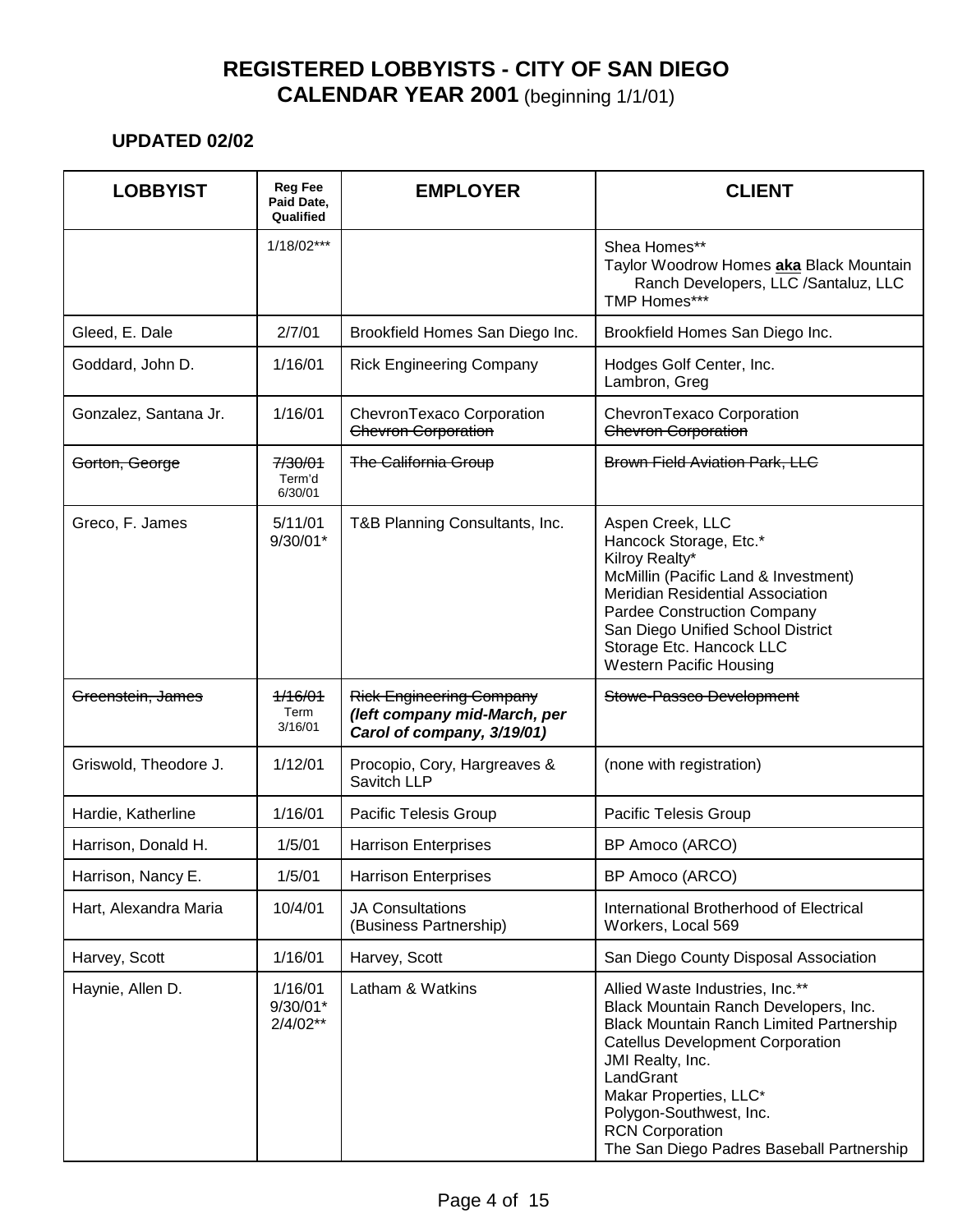| <b>LOBBYIST</b>       | <b>Reg Fee</b><br>Paid Date,<br>Qualified | <b>EMPLOYER</b>                                                                               | <b>CLIENT</b>                                                                                                                                                                                                                                                                                                                       |
|-----------------------|-------------------------------------------|-----------------------------------------------------------------------------------------------|-------------------------------------------------------------------------------------------------------------------------------------------------------------------------------------------------------------------------------------------------------------------------------------------------------------------------------------|
|                       | $1/18/02***$                              |                                                                                               | Shea Homes**<br>Taylor Woodrow Homes aka Black Mountain<br>Ranch Developers, LLC /Santaluz, LLC<br>TMP Homes***                                                                                                                                                                                                                     |
| Gleed, E. Dale        | 2/7/01                                    | Brookfield Homes San Diego Inc.                                                               | Brookfield Homes San Diego Inc.                                                                                                                                                                                                                                                                                                     |
| Goddard, John D.      | 1/16/01                                   | <b>Rick Engineering Company</b>                                                               | Hodges Golf Center, Inc.<br>Lambron, Greg                                                                                                                                                                                                                                                                                           |
| Gonzalez, Santana Jr. | 1/16/01                                   | ChevronTexaco Corporation<br>Chevron Corporation                                              | ChevronTexaco Corporation<br>Chevron Corporation                                                                                                                                                                                                                                                                                    |
| Gorton, George        | 7/30/01<br>Term'd<br>6/30/01              | <b>The California Group</b>                                                                   | <b>Brown Field Aviation Park, LLC</b>                                                                                                                                                                                                                                                                                               |
| Greco, F. James       | 5/11/01<br>$9/30/01*$                     | T&B Planning Consultants, Inc.                                                                | Aspen Creek, LLC<br>Hancock Storage, Etc.*<br>Kilroy Realty*<br>McMillin (Pacific Land & Investment)<br><b>Meridian Residential Association</b><br>Pardee Construction Company<br>San Diego Unified School District<br>Storage Etc. Hancock LLC<br><b>Western Pacific Housing</b>                                                   |
| Greenstein, James     | 1/16/01<br>Term<br>3/16/01                | <b>Rick Engineering Company</b><br>(left company mid-March, per<br>Carol of company, 3/19/01) | Stowe-Passco Development                                                                                                                                                                                                                                                                                                            |
| Griswold, Theodore J. | 1/12/01                                   | Procopio, Cory, Hargreaves &<br>Savitch LLP                                                   | (none with registration)                                                                                                                                                                                                                                                                                                            |
| Hardie, Katherline    | 1/16/01                                   | Pacific Telesis Group                                                                         | Pacific Telesis Group                                                                                                                                                                                                                                                                                                               |
| Harrison, Donald H.   | 1/5/01                                    | <b>Harrison Enterprises</b>                                                                   | BP Amoco (ARCO)                                                                                                                                                                                                                                                                                                                     |
| Harrison, Nancy E.    | 1/5/01                                    | <b>Harrison Enterprises</b>                                                                   | BP Amoco (ARCO)                                                                                                                                                                                                                                                                                                                     |
| Hart, Alexandra Maria | 10/4/01                                   | <b>JA Consultations</b><br>(Business Partnership)                                             | International Brotherhood of Electrical<br>Workers, Local 569                                                                                                                                                                                                                                                                       |
| Harvey, Scott         | 1/16/01                                   | Harvey, Scott                                                                                 | San Diego County Disposal Association                                                                                                                                                                                                                                                                                               |
| Haynie, Allen D.      | 1/16/01<br>9/30/01*<br>$2/4/02**$         | Latham & Watkins                                                                              | Allied Waste Industries, Inc.**<br>Black Mountain Ranch Developers, Inc.<br><b>Black Mountain Ranch Limited Partnership</b><br><b>Catellus Development Corporation</b><br>JMI Realty, Inc.<br>LandGrant<br>Makar Properties, LLC*<br>Polygon-Southwest, Inc.<br><b>RCN Corporation</b><br>The San Diego Padres Baseball Partnership |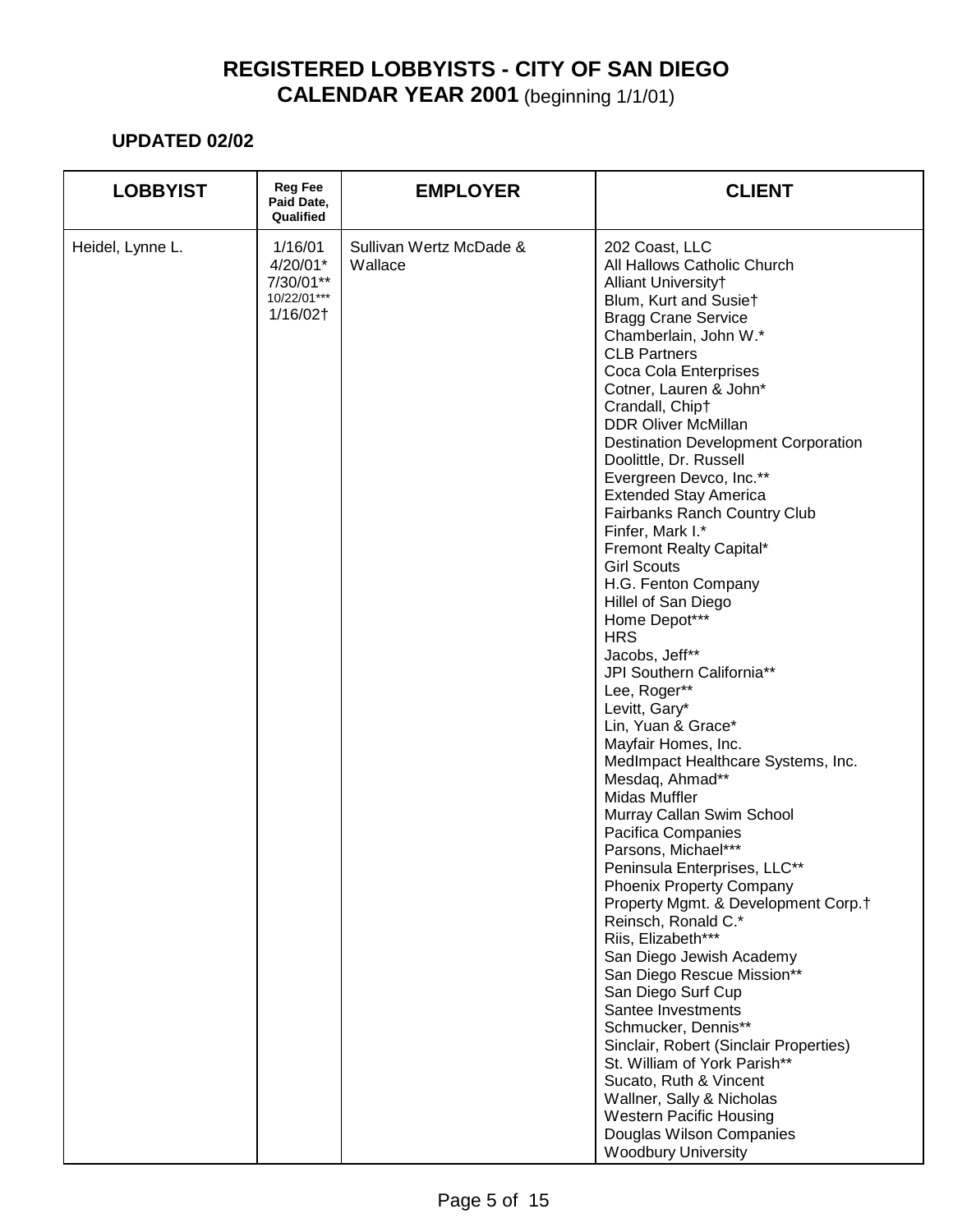| <b>LOBBYIST</b>  | <b>Reg Fee</b><br>Paid Date,<br>Qualified                   | <b>EMPLOYER</b>                    | <b>CLIENT</b>                                                                                                                                                                                                                                                                                                                                                                                                                                                                                                                                                                                                                                                                                                                                                                                                                                                                                                                                                                                                                                                                                                                                                                                                                                                                                                                                                                                   |
|------------------|-------------------------------------------------------------|------------------------------------|-------------------------------------------------------------------------------------------------------------------------------------------------------------------------------------------------------------------------------------------------------------------------------------------------------------------------------------------------------------------------------------------------------------------------------------------------------------------------------------------------------------------------------------------------------------------------------------------------------------------------------------------------------------------------------------------------------------------------------------------------------------------------------------------------------------------------------------------------------------------------------------------------------------------------------------------------------------------------------------------------------------------------------------------------------------------------------------------------------------------------------------------------------------------------------------------------------------------------------------------------------------------------------------------------------------------------------------------------------------------------------------------------|
| Heidel, Lynne L. | 1/16/01<br>4/20/01*<br>7/30/01**<br>10/22/01***<br>1/16/02† | Sullivan Wertz McDade &<br>Wallace | 202 Coast, LLC<br>All Hallows Catholic Church<br>Alliant Universityt<br>Blum, Kurt and Susiet<br><b>Bragg Crane Service</b><br>Chamberlain, John W.*<br><b>CLB Partners</b><br>Coca Cola Enterprises<br>Cotner, Lauren & John*<br>Crandall, Chipt<br><b>DDR Oliver McMillan</b><br><b>Destination Development Corporation</b><br>Doolittle, Dr. Russell<br>Evergreen Devco, Inc.**<br><b>Extended Stay America</b><br>Fairbanks Ranch Country Club<br>Finfer, Mark I.*<br>Fremont Realty Capital*<br><b>Girl Scouts</b><br>H.G. Fenton Company<br>Hillel of San Diego<br>Home Depot***<br><b>HRS</b><br>Jacobs, Jeff**<br>JPI Southern California**<br>Lee, Roger**<br>Levitt, Gary*<br>Lin, Yuan & Grace*<br>Mayfair Homes, Inc.<br>MedImpact Healthcare Systems, Inc.<br>Mesdaq, Ahmad**<br>Midas Muffler<br>Murray Callan Swim School<br>Pacifica Companies<br>Parsons, Michael***<br>Peninsula Enterprises, LLC**<br>Phoenix Property Company<br>Property Mgmt. & Development Corp.†<br>Reinsch, Ronald C.*<br>Riis, Elizabeth***<br>San Diego Jewish Academy<br>San Diego Rescue Mission**<br>San Diego Surf Cup<br>Santee Investments<br>Schmucker, Dennis**<br>Sinclair, Robert (Sinclair Properties)<br>St. William of York Parish**<br>Sucato, Ruth & Vincent<br>Wallner, Sally & Nicholas<br><b>Western Pacific Housing</b><br>Douglas Wilson Companies<br><b>Woodbury University</b> |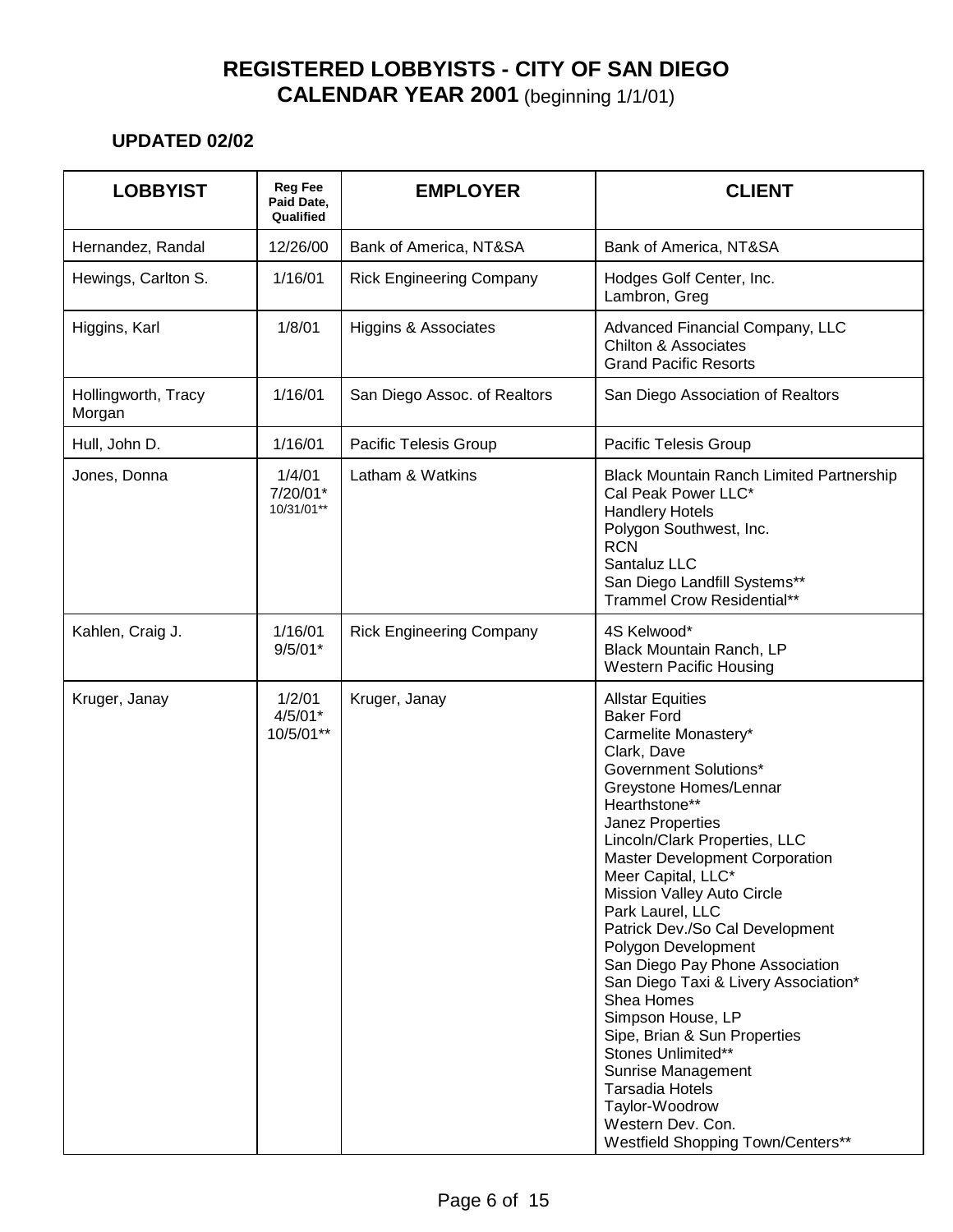| <b>LOBBYIST</b>               | <b>Reg Fee</b><br>Paid Date,<br>Qualified | <b>EMPLOYER</b>                 | <b>CLIENT</b>                                                                                                                                                                                                                                                                                                                                                                                                                                                                                                                                                                                                                                                                           |
|-------------------------------|-------------------------------------------|---------------------------------|-----------------------------------------------------------------------------------------------------------------------------------------------------------------------------------------------------------------------------------------------------------------------------------------------------------------------------------------------------------------------------------------------------------------------------------------------------------------------------------------------------------------------------------------------------------------------------------------------------------------------------------------------------------------------------------------|
| Hernandez, Randal             | 12/26/00                                  | Bank of America, NT&SA          | Bank of America, NT&SA                                                                                                                                                                                                                                                                                                                                                                                                                                                                                                                                                                                                                                                                  |
| Hewings, Carlton S.           | 1/16/01                                   | <b>Rick Engineering Company</b> | Hodges Golf Center, Inc.<br>Lambron, Greg                                                                                                                                                                                                                                                                                                                                                                                                                                                                                                                                                                                                                                               |
| Higgins, Karl                 | 1/8/01                                    | Higgins & Associates            | Advanced Financial Company, LLC<br><b>Chilton &amp; Associates</b><br><b>Grand Pacific Resorts</b>                                                                                                                                                                                                                                                                                                                                                                                                                                                                                                                                                                                      |
| Hollingworth, Tracy<br>Morgan | 1/16/01                                   | San Diego Assoc. of Realtors    | San Diego Association of Realtors                                                                                                                                                                                                                                                                                                                                                                                                                                                                                                                                                                                                                                                       |
| Hull, John D.                 | 1/16/01                                   | Pacific Telesis Group           | Pacific Telesis Group                                                                                                                                                                                                                                                                                                                                                                                                                                                                                                                                                                                                                                                                   |
| Jones, Donna                  | 1/4/01<br>7/20/01*<br>10/31/01**          | Latham & Watkins                | <b>Black Mountain Ranch Limited Partnership</b><br>Cal Peak Power LLC*<br><b>Handlery Hotels</b><br>Polygon Southwest, Inc.<br><b>RCN</b><br>Santaluz LLC<br>San Diego Landfill Systems**<br><b>Trammel Crow Residential**</b>                                                                                                                                                                                                                                                                                                                                                                                                                                                          |
| Kahlen, Craig J.              | 1/16/01<br>$9/5/01*$                      | <b>Rick Engineering Company</b> | 4S Kelwood*<br>Black Mountain Ranch, LP<br><b>Western Pacific Housing</b>                                                                                                                                                                                                                                                                                                                                                                                                                                                                                                                                                                                                               |
| Kruger, Janay                 | 1/2/01<br>$4/5/01*$<br>10/5/01**          | Kruger, Janay                   | <b>Allstar Equities</b><br><b>Baker Ford</b><br>Carmelite Monastery*<br>Clark, Dave<br><b>Government Solutions*</b><br>Greystone Homes/Lennar<br>Hearthstone**<br>Janez Properties<br>Lincoln/Clark Properties, LLC<br>Master Development Corporation<br>Meer Capital, LLC*<br>Mission Valley Auto Circle<br>Park Laurel, LLC<br>Patrick Dev./So Cal Development<br>Polygon Development<br>San Diego Pay Phone Association<br>San Diego Taxi & Livery Association*<br>Shea Homes<br>Simpson House, LP<br>Sipe, Brian & Sun Properties<br>Stones Unlimited**<br>Sunrise Management<br><b>Tarsadia Hotels</b><br>Taylor-Woodrow<br>Western Dev. Con.<br>Westfield Shopping Town/Centers** |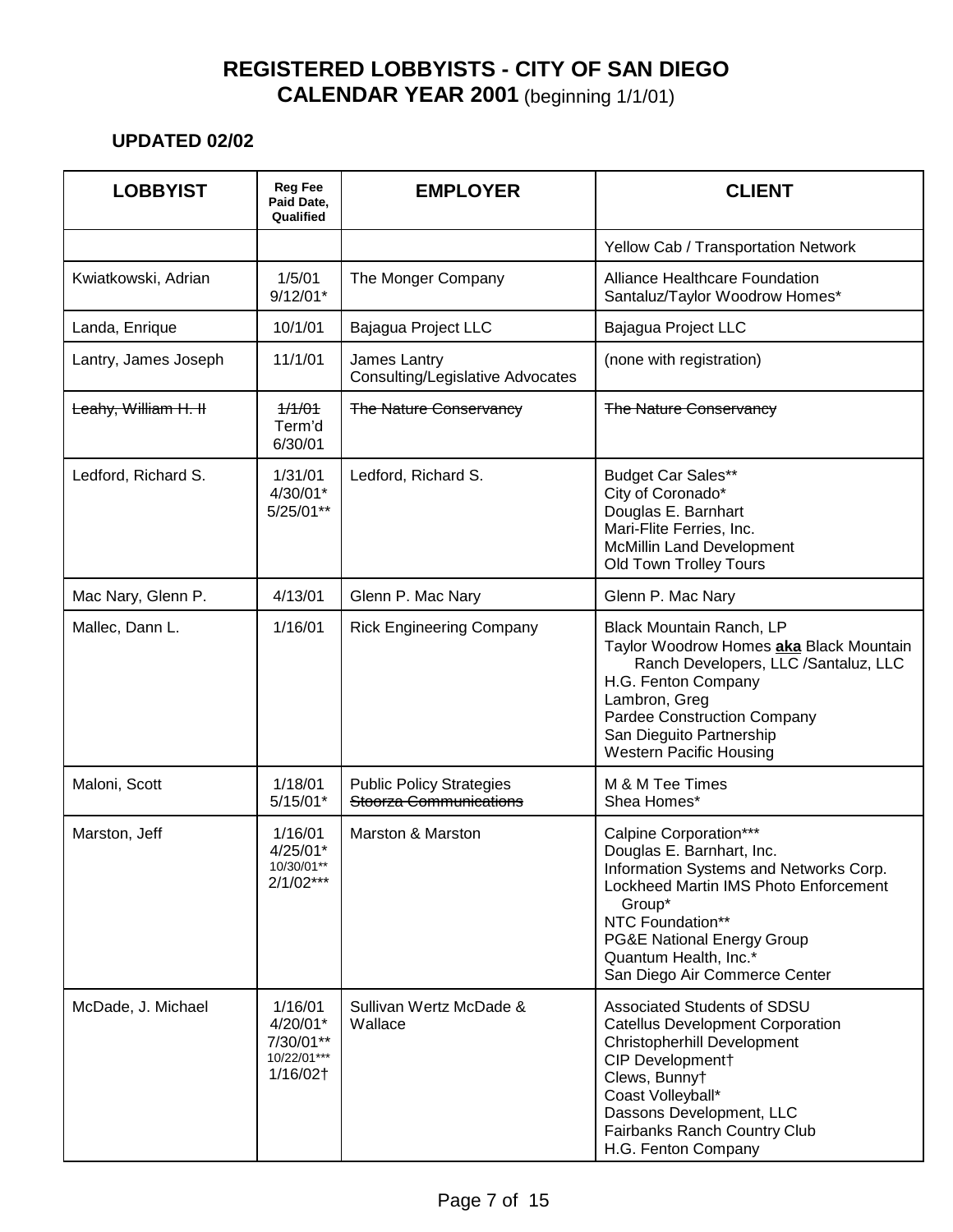| <b>LOBBYIST</b>      | <b>Reg Fee</b><br>Paid Date,<br>Qualified                   | <b>EMPLOYER</b>                                           | <b>CLIENT</b>                                                                                                                                                                                                                                                           |
|----------------------|-------------------------------------------------------------|-----------------------------------------------------------|-------------------------------------------------------------------------------------------------------------------------------------------------------------------------------------------------------------------------------------------------------------------------|
|                      |                                                             |                                                           | Yellow Cab / Transportation Network                                                                                                                                                                                                                                     |
| Kwiatkowski, Adrian  | 1/5/01<br>$9/12/01*$                                        | The Monger Company                                        | Alliance Healthcare Foundation<br>Santaluz/Taylor Woodrow Homes*                                                                                                                                                                                                        |
| Landa, Enrique       | 10/1/01                                                     | Bajagua Project LLC                                       | Bajagua Project LLC                                                                                                                                                                                                                                                     |
| Lantry, James Joseph | 11/1/01                                                     | James Lantry<br><b>Consulting/Legislative Advocates</b>   | (none with registration)                                                                                                                                                                                                                                                |
| Leahy, William H. II | 1/1/01<br>Term'd<br>6/30/01                                 | <b>The Nature Conservancy</b>                             | <b>The Nature Conservancy</b>                                                                                                                                                                                                                                           |
| Ledford, Richard S.  | 1/31/01<br>4/30/01*<br>5/25/01**                            | Ledford, Richard S.                                       | <b>Budget Car Sales**</b><br>City of Coronado*<br>Douglas E. Barnhart<br>Mari-Flite Ferries, Inc.<br><b>McMillin Land Development</b><br>Old Town Trolley Tours                                                                                                         |
| Mac Nary, Glenn P.   | 4/13/01                                                     | Glenn P. Mac Nary                                         | Glenn P. Mac Nary                                                                                                                                                                                                                                                       |
| Mallec, Dann L.      | 1/16/01                                                     | <b>Rick Engineering Company</b>                           | Black Mountain Ranch, LP<br>Taylor Woodrow Homes aka Black Mountain<br>Ranch Developers, LLC /Santaluz, LLC<br>H.G. Fenton Company<br>Lambron, Greg<br><b>Pardee Construction Company</b><br>San Dieguito Partnership<br><b>Western Pacific Housing</b>                 |
| Maloni, Scott        | 1/18/01<br>$5/15/01*$                                       | <b>Public Policy Strategies</b><br>Stoorza Communications | M & M Tee Times<br>Shea Homes*                                                                                                                                                                                                                                          |
| Marston, Jeff        | 1/16/01<br>$4/25/01*$<br>10/30/01**<br>$2/1/02***$          | <b>Marston &amp; Marston</b>                              | Calpine Corporation***<br>Douglas E. Barnhart, Inc.<br>Information Systems and Networks Corp.<br>Lockheed Martin IMS Photo Enforcement<br>Group*<br>NTC Foundation**<br><b>PG&amp;E National Energy Group</b><br>Quantum Health, Inc.*<br>San Diego Air Commerce Center |
| McDade, J. Michael   | 1/16/01<br>4/20/01*<br>7/30/01**<br>10/22/01***<br>1/16/02† | Sullivan Wertz McDade &<br>Wallace                        | Associated Students of SDSU<br><b>Catellus Development Corporation</b><br>Christopherhill Development<br>CIP Development†<br>Clews, Bunnyt<br>Coast Volleyball*<br>Dassons Development, LLC<br>Fairbanks Ranch Country Club<br>H.G. Fenton Company                      |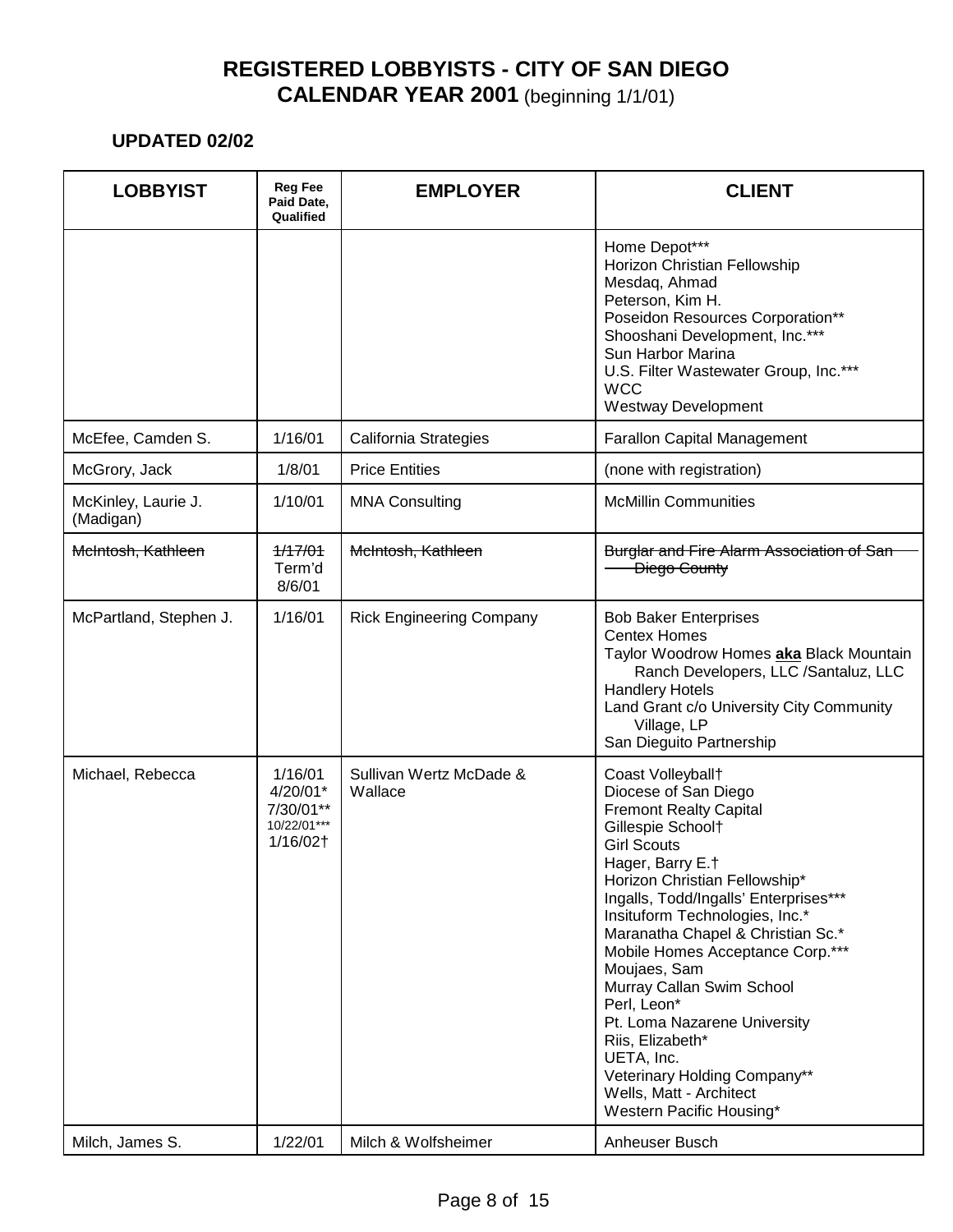| <b>LOBBYIST</b>                  | <b>Reg Fee</b><br>Paid Date,<br>Qualified                   | <b>EMPLOYER</b>                    | <b>CLIENT</b>                                                                                                                                                                                                                                                                                                                                                                                                                                                                                                                                       |
|----------------------------------|-------------------------------------------------------------|------------------------------------|-----------------------------------------------------------------------------------------------------------------------------------------------------------------------------------------------------------------------------------------------------------------------------------------------------------------------------------------------------------------------------------------------------------------------------------------------------------------------------------------------------------------------------------------------------|
|                                  |                                                             |                                    | Home Depot***<br>Horizon Christian Fellowship<br>Mesdaq, Ahmad<br>Peterson, Kim H.<br>Poseidon Resources Corporation**<br>Shooshani Development, Inc.***<br>Sun Harbor Marina<br>U.S. Filter Wastewater Group, Inc.***<br><b>WCC</b><br><b>Westway Development</b>                                                                                                                                                                                                                                                                                  |
| McEfee, Camden S.                | 1/16/01                                                     | California Strategies              | <b>Farallon Capital Management</b>                                                                                                                                                                                                                                                                                                                                                                                                                                                                                                                  |
| McGrory, Jack                    | 1/8/01                                                      | <b>Price Entities</b>              | (none with registration)                                                                                                                                                                                                                                                                                                                                                                                                                                                                                                                            |
| McKinley, Laurie J.<br>(Madigan) | 1/10/01                                                     | <b>MNA Consulting</b>              | <b>McMillin Communities</b>                                                                                                                                                                                                                                                                                                                                                                                                                                                                                                                         |
| McIntosh, Kathleen               | 1/17/01<br>Term'd<br>8/6/01                                 | McIntosh, Kathleen                 | <b>Burglar and Fire Alarm Association of San</b><br>Diego County                                                                                                                                                                                                                                                                                                                                                                                                                                                                                    |
| McPartland, Stephen J.           | 1/16/01                                                     | <b>Rick Engineering Company</b>    | <b>Bob Baker Enterprises</b><br><b>Centex Homes</b><br>Taylor Woodrow Homes aka Black Mountain<br>Ranch Developers, LLC /Santaluz, LLC<br><b>Handlery Hotels</b><br>Land Grant c/o University City Community<br>Village, LP<br>San Dieguito Partnership                                                                                                                                                                                                                                                                                             |
| Michael, Rebecca                 | 1/16/01<br>4/20/01*<br>7/30/01**<br>10/22/01***<br>1/16/02† | Sullivan Wertz McDade &<br>Wallace | Coast Volleyball+<br>Diocese of San Diego<br><b>Fremont Realty Capital</b><br>Gillespie Schoolt<br><b>Girl Scouts</b><br>Hager, Barry E.†<br>Horizon Christian Fellowship*<br>Ingalls, Todd/Ingalls' Enterprises***<br>Insituform Technologies, Inc.*<br>Maranatha Chapel & Christian Sc.*<br>Mobile Homes Acceptance Corp.***<br>Moujaes, Sam<br>Murray Callan Swim School<br>Perl, Leon*<br>Pt. Loma Nazarene University<br>Riis, Elizabeth*<br>UETA, Inc.<br>Veterinary Holding Company**<br>Wells, Matt - Architect<br>Western Pacific Housing* |
| Milch, James S.                  | 1/22/01                                                     | Milch & Wolfsheimer                | Anheuser Busch                                                                                                                                                                                                                                                                                                                                                                                                                                                                                                                                      |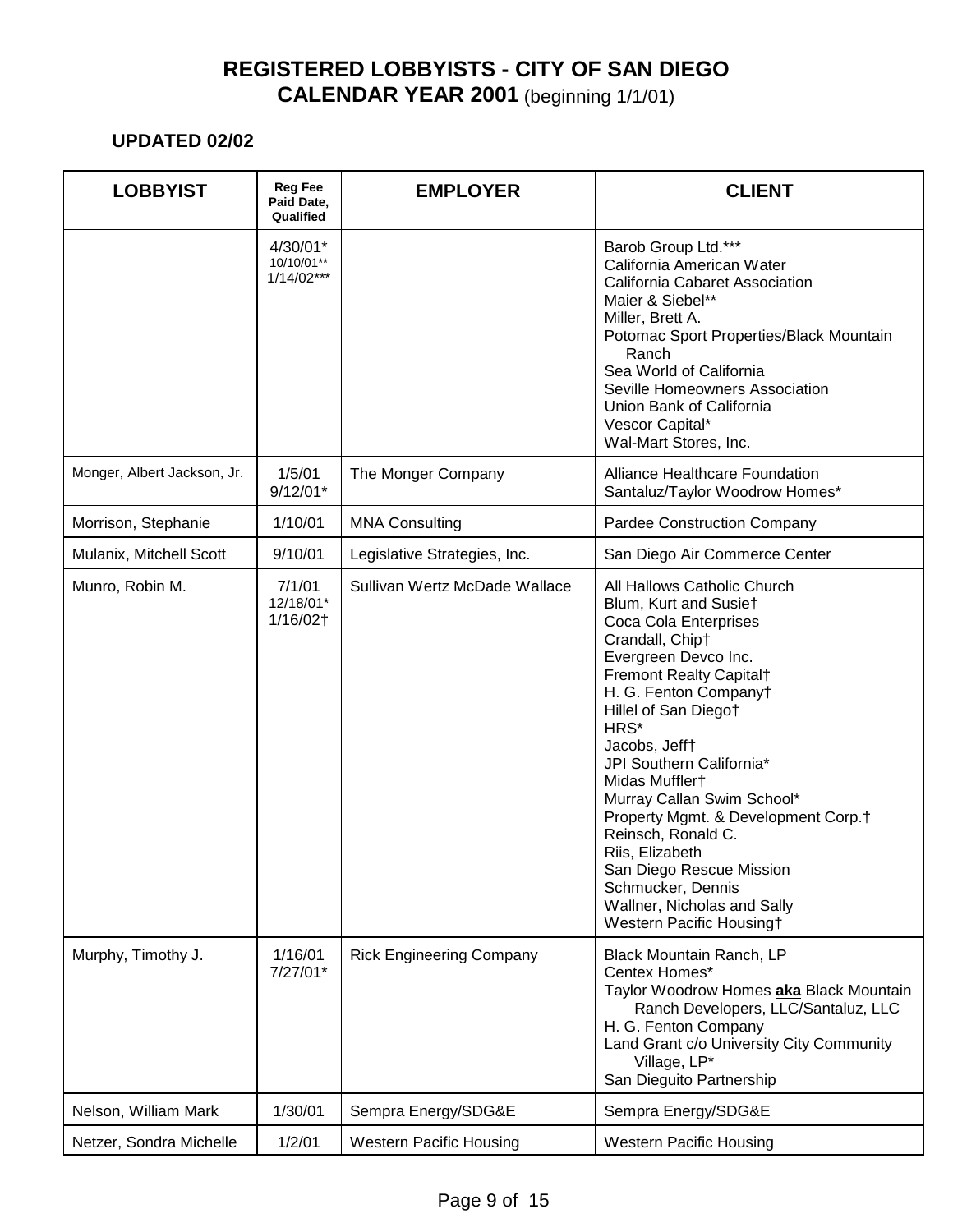| <b>LOBBYIST</b>             | <b>Reg Fee</b><br>Paid Date,<br>Qualified | <b>EMPLOYER</b>                 | <b>CLIENT</b>                                                                                                                                                                                                                                                                                                                                                                                                                                                                                                     |
|-----------------------------|-------------------------------------------|---------------------------------|-------------------------------------------------------------------------------------------------------------------------------------------------------------------------------------------------------------------------------------------------------------------------------------------------------------------------------------------------------------------------------------------------------------------------------------------------------------------------------------------------------------------|
|                             | 4/30/01*<br>10/10/01**<br>$1/14/02***$    |                                 | Barob Group Ltd.***<br>California American Water<br>California Cabaret Association<br>Maier & Siebel**<br>Miller, Brett A.<br>Potomac Sport Properties/Black Mountain<br>Ranch<br>Sea World of California<br>Seville Homeowners Association<br>Union Bank of California<br>Vescor Capital*<br>Wal-Mart Stores, Inc.                                                                                                                                                                                               |
| Monger, Albert Jackson, Jr. | 1/5/01<br>$9/12/01*$                      | The Monger Company              | <b>Alliance Healthcare Foundation</b><br>Santaluz/Taylor Woodrow Homes*                                                                                                                                                                                                                                                                                                                                                                                                                                           |
| Morrison, Stephanie         | 1/10/01                                   | <b>MNA Consulting</b>           | Pardee Construction Company                                                                                                                                                                                                                                                                                                                                                                                                                                                                                       |
| Mulanix, Mitchell Scott     | 9/10/01                                   | Legislative Strategies, Inc.    | San Diego Air Commerce Center                                                                                                                                                                                                                                                                                                                                                                                                                                                                                     |
| Munro, Robin M.             | 7/1/01<br>12/18/01*<br>1/16/02†           | Sullivan Wertz McDade Wallace   | All Hallows Catholic Church<br>Blum, Kurt and Susiet<br>Coca Cola Enterprises<br>Crandall, Chipt<br>Evergreen Devco Inc.<br>Fremont Realty Capital <sup>+</sup><br>H. G. Fenton Companyt<br>Hillel of San Diegot<br>HRS*<br>Jacobs, Jefft<br>JPI Southern California*<br>Midas Mufflert<br>Murray Callan Swim School*<br>Property Mgmt. & Development Corp.†<br>Reinsch, Ronald C.<br>Riis, Elizabeth<br>San Diego Rescue Mission<br>Schmucker, Dennis<br>Wallner, Nicholas and Sally<br>Western Pacific Housing† |
| Murphy, Timothy J.          | 1/16/01<br>$7/27/01*$                     | <b>Rick Engineering Company</b> | Black Mountain Ranch, LP<br>Centex Homes*<br>Taylor Woodrow Homes aka Black Mountain<br>Ranch Developers, LLC/Santaluz, LLC<br>H. G. Fenton Company<br>Land Grant c/o University City Community<br>Village, LP*<br>San Dieguito Partnership                                                                                                                                                                                                                                                                       |
| Nelson, William Mark        | 1/30/01                                   | Sempra Energy/SDG&E             | Sempra Energy/SDG&E                                                                                                                                                                                                                                                                                                                                                                                                                                                                                               |
| Netzer, Sondra Michelle     | 1/2/01                                    | <b>Western Pacific Housing</b>  | <b>Western Pacific Housing</b>                                                                                                                                                                                                                                                                                                                                                                                                                                                                                    |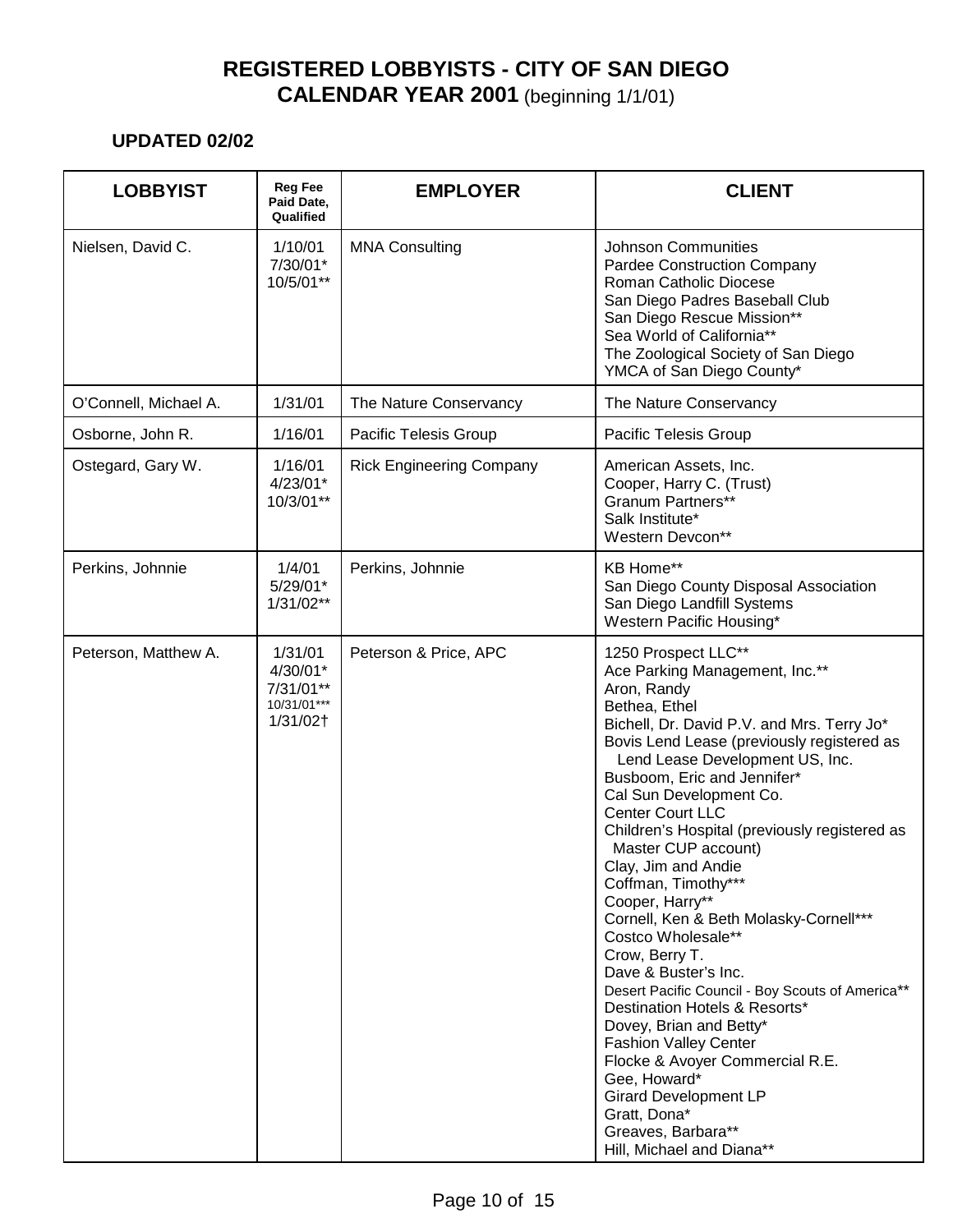| <b>LOBBYIST</b>       | <b>Reg Fee</b><br>Paid Date,<br>Qualified                   | <b>EMPLOYER</b>                 | <b>CLIENT</b>                                                                                                                                                                                                                                                                                                                                                                                                                                                                                                                                                                                                                                                                                                                                                                                                                                                      |
|-----------------------|-------------------------------------------------------------|---------------------------------|--------------------------------------------------------------------------------------------------------------------------------------------------------------------------------------------------------------------------------------------------------------------------------------------------------------------------------------------------------------------------------------------------------------------------------------------------------------------------------------------------------------------------------------------------------------------------------------------------------------------------------------------------------------------------------------------------------------------------------------------------------------------------------------------------------------------------------------------------------------------|
| Nielsen, David C.     | 1/10/01<br>7/30/01*<br>10/5/01**                            | <b>MNA Consulting</b>           | <b>Johnson Communities</b><br><b>Pardee Construction Company</b><br><b>Roman Catholic Diocese</b><br>San Diego Padres Baseball Club<br>San Diego Rescue Mission**<br>Sea World of California**<br>The Zoological Society of San Diego<br>YMCA of San Diego County*                                                                                                                                                                                                                                                                                                                                                                                                                                                                                                                                                                                                 |
| O'Connell, Michael A. | 1/31/01                                                     | The Nature Conservancy          | The Nature Conservancy                                                                                                                                                                                                                                                                                                                                                                                                                                                                                                                                                                                                                                                                                                                                                                                                                                             |
| Osborne, John R.      | 1/16/01                                                     | Pacific Telesis Group           | Pacific Telesis Group                                                                                                                                                                                                                                                                                                                                                                                                                                                                                                                                                                                                                                                                                                                                                                                                                                              |
| Ostegard, Gary W.     | 1/16/01<br>$4/23/01*$<br>10/3/01**                          | <b>Rick Engineering Company</b> | American Assets, Inc.<br>Cooper, Harry C. (Trust)<br>Granum Partners**<br>Salk Institute*<br>Western Devcon**                                                                                                                                                                                                                                                                                                                                                                                                                                                                                                                                                                                                                                                                                                                                                      |
| Perkins, Johnnie      | 1/4/01<br>5/29/01*<br>$1/31/02**$                           | Perkins, Johnnie                | <b>KB Home**</b><br>San Diego County Disposal Association<br>San Diego Landfill Systems<br>Western Pacific Housing*                                                                                                                                                                                                                                                                                                                                                                                                                                                                                                                                                                                                                                                                                                                                                |
| Peterson, Matthew A.  | 1/31/01<br>4/30/01*<br>7/31/01**<br>10/31/01***<br>1/31/02† | Peterson & Price, APC           | 1250 Prospect LLC**<br>Ace Parking Management, Inc.**<br>Aron, Randy<br>Bethea, Ethel<br>Bichell, Dr. David P.V. and Mrs. Terry Jo*<br>Bovis Lend Lease (previously registered as<br>Lend Lease Development US, Inc.<br>Busboom, Eric and Jennifer*<br>Cal Sun Development Co.<br><b>Center Court LLC</b><br>Children's Hospital (previously registered as<br>Master CUP account)<br>Clay, Jim and Andie<br>Coffman, Timothy***<br>Cooper, Harry**<br>Cornell, Ken & Beth Molasky-Cornell***<br>Costco Wholesale**<br>Crow, Berry T.<br>Dave & Buster's Inc.<br>Desert Pacific Council - Boy Scouts of America**<br>Destination Hotels & Resorts*<br>Dovey, Brian and Betty*<br><b>Fashion Valley Center</b><br>Flocke & Avoyer Commercial R.E.<br>Gee, Howard*<br><b>Girard Development LP</b><br>Gratt, Dona*<br>Greaves, Barbara**<br>Hill, Michael and Diana** |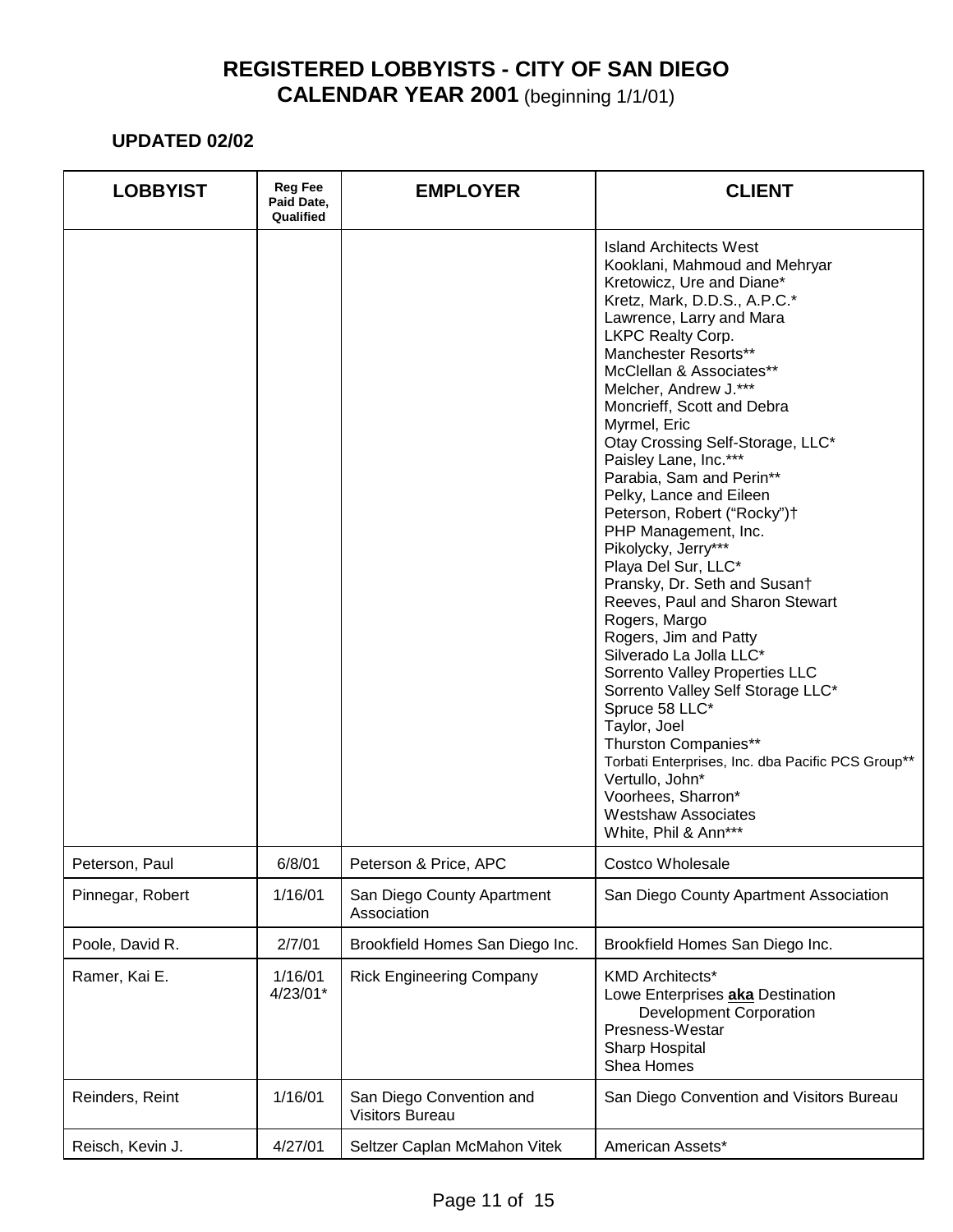| <b>LOBBYIST</b>  | <b>Reg Fee</b><br>Paid Date,<br>Qualified | <b>EMPLOYER</b>                                    | <b>CLIENT</b>                                                                                                                                                                                                                                                                                                                                                                                                                                                                                                                                                                                                                                                                                                                                                                                                                                                                                                                                          |
|------------------|-------------------------------------------|----------------------------------------------------|--------------------------------------------------------------------------------------------------------------------------------------------------------------------------------------------------------------------------------------------------------------------------------------------------------------------------------------------------------------------------------------------------------------------------------------------------------------------------------------------------------------------------------------------------------------------------------------------------------------------------------------------------------------------------------------------------------------------------------------------------------------------------------------------------------------------------------------------------------------------------------------------------------------------------------------------------------|
|                  |                                           |                                                    | Island Architects West<br>Kooklani, Mahmoud and Mehryar<br>Kretowicz, Ure and Diane*<br>Kretz, Mark, D.D.S., A.P.C.*<br>Lawrence, Larry and Mara<br>LKPC Realty Corp.<br>Manchester Resorts**<br>McClellan & Associates**<br>Melcher, Andrew J.***<br>Moncrieff, Scott and Debra<br>Myrmel, Eric<br>Otay Crossing Self-Storage, LLC*<br>Paisley Lane, Inc.***<br>Parabia, Sam and Perin**<br>Pelky, Lance and Eileen<br>Peterson, Robert ("Rocky")+<br>PHP Management, Inc.<br>Pikolycky, Jerry***<br>Playa Del Sur, LLC*<br>Pransky, Dr. Seth and Susan†<br>Reeves, Paul and Sharon Stewart<br>Rogers, Margo<br>Rogers, Jim and Patty<br>Silverado La Jolla LLC*<br>Sorrento Valley Properties LLC<br>Sorrento Valley Self Storage LLC*<br>Spruce 58 LLC*<br>Taylor, Joel<br>Thurston Companies**<br>Torbati Enterprises, Inc. dba Pacific PCS Group**<br>Vertullo, John*<br>Voorhees, Sharron*<br><b>Westshaw Associates</b><br>White, Phil & Ann*** |
| Peterson, Paul   | 6/8/01                                    | Peterson & Price, APC                              | Costco Wholesale                                                                                                                                                                                                                                                                                                                                                                                                                                                                                                                                                                                                                                                                                                                                                                                                                                                                                                                                       |
| Pinnegar, Robert | 1/16/01                                   | San Diego County Apartment<br>Association          | San Diego County Apartment Association                                                                                                                                                                                                                                                                                                                                                                                                                                                                                                                                                                                                                                                                                                                                                                                                                                                                                                                 |
| Poole, David R.  | 2/7/01                                    | Brookfield Homes San Diego Inc.                    | Brookfield Homes San Diego Inc.                                                                                                                                                                                                                                                                                                                                                                                                                                                                                                                                                                                                                                                                                                                                                                                                                                                                                                                        |
| Ramer, Kai E.    | 1/16/01<br>4/23/01*                       | <b>Rick Engineering Company</b>                    | <b>KMD Architects*</b><br>Lowe Enterprises aka Destination<br><b>Development Corporation</b><br>Presness-Westar<br><b>Sharp Hospital</b><br>Shea Homes                                                                                                                                                                                                                                                                                                                                                                                                                                                                                                                                                                                                                                                                                                                                                                                                 |
| Reinders, Reint  | 1/16/01                                   | San Diego Convention and<br><b>Visitors Bureau</b> | San Diego Convention and Visitors Bureau                                                                                                                                                                                                                                                                                                                                                                                                                                                                                                                                                                                                                                                                                                                                                                                                                                                                                                               |
| Reisch, Kevin J. | 4/27/01                                   | Seltzer Caplan McMahon Vitek                       | American Assets*                                                                                                                                                                                                                                                                                                                                                                                                                                                                                                                                                                                                                                                                                                                                                                                                                                                                                                                                       |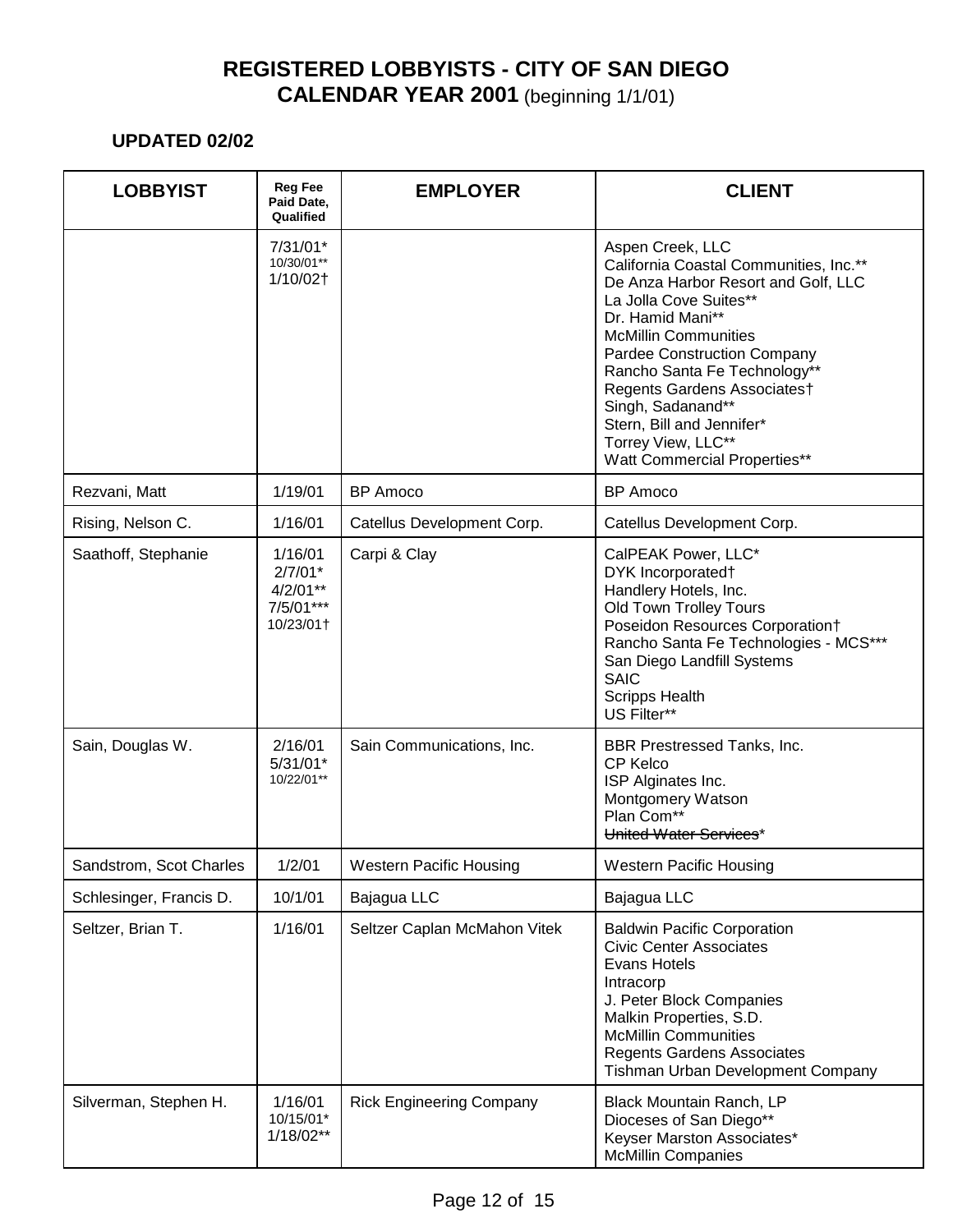| <b>LOBBYIST</b>         | <b>Reg Fee</b><br>Paid Date,<br>Qualified                    | <b>EMPLOYER</b>                 | <b>CLIENT</b>                                                                                                                                                                                                                                                                                                                                                                               |
|-------------------------|--------------------------------------------------------------|---------------------------------|---------------------------------------------------------------------------------------------------------------------------------------------------------------------------------------------------------------------------------------------------------------------------------------------------------------------------------------------------------------------------------------------|
|                         | $7/31/01*$<br>10/30/01**<br>1/10/02†                         |                                 | Aspen Creek, LLC<br>California Coastal Communities, Inc.**<br>De Anza Harbor Resort and Golf, LLC<br>La Jolla Cove Suites**<br>Dr. Hamid Mani**<br><b>McMillin Communities</b><br>Pardee Construction Company<br>Rancho Santa Fe Technology**<br>Regents Gardens Associates†<br>Singh, Sadanand**<br>Stern, Bill and Jennifer*<br>Torrey View, LLC**<br><b>Watt Commercial Properties**</b> |
| Rezvani, Matt           | 1/19/01                                                      | <b>BP</b> Amoco                 | <b>BP</b> Amoco                                                                                                                                                                                                                                                                                                                                                                             |
| Rising, Nelson C.       | 1/16/01                                                      | Catellus Development Corp.      | Catellus Development Corp.                                                                                                                                                                                                                                                                                                                                                                  |
| Saathoff, Stephanie     | 1/16/01<br>$2/7/01*$<br>$4/2/01**$<br>7/5/01***<br>10/23/01+ | Carpi & Clay                    | CalPEAK Power, LLC*<br>DYK Incorporated†<br>Handlery Hotels, Inc.<br>Old Town Trolley Tours<br>Poseidon Resources Corporation†<br>Rancho Santa Fe Technologies - MCS***<br>San Diego Landfill Systems<br><b>SAIC</b><br><b>Scripps Health</b><br>US Filter**                                                                                                                                |
| Sain, Douglas W.        | 2/16/01<br>$5/31/01*$<br>10/22/01**                          | Sain Communications, Inc.       | BBR Prestressed Tanks, Inc.<br><b>CP Kelco</b><br>ISP Alginates Inc.<br>Montgomery Watson<br>Plan Com**<br>United Water Services*                                                                                                                                                                                                                                                           |
| Sandstrom, Scot Charles | 1/2/01                                                       | <b>Western Pacific Housing</b>  | <b>Western Pacific Housing</b>                                                                                                                                                                                                                                                                                                                                                              |
| Schlesinger, Francis D. | 10/1/01                                                      | Bajagua LLC                     | Bajagua LLC                                                                                                                                                                                                                                                                                                                                                                                 |
| Seltzer, Brian T.       | 1/16/01                                                      | Seltzer Caplan McMahon Vitek    | <b>Baldwin Pacific Corporation</b><br><b>Civic Center Associates</b><br>Evans Hotels<br>Intracorp<br>J. Peter Block Companies<br>Malkin Properties, S.D.<br><b>McMillin Communities</b><br><b>Regents Gardens Associates</b><br>Tishman Urban Development Company                                                                                                                           |
| Silverman, Stephen H.   | 1/16/01<br>10/15/01*<br>$1/18/02**$                          | <b>Rick Engineering Company</b> | Black Mountain Ranch, LP<br>Dioceses of San Diego**<br>Keyser Marston Associates*<br><b>McMillin Companies</b>                                                                                                                                                                                                                                                                              |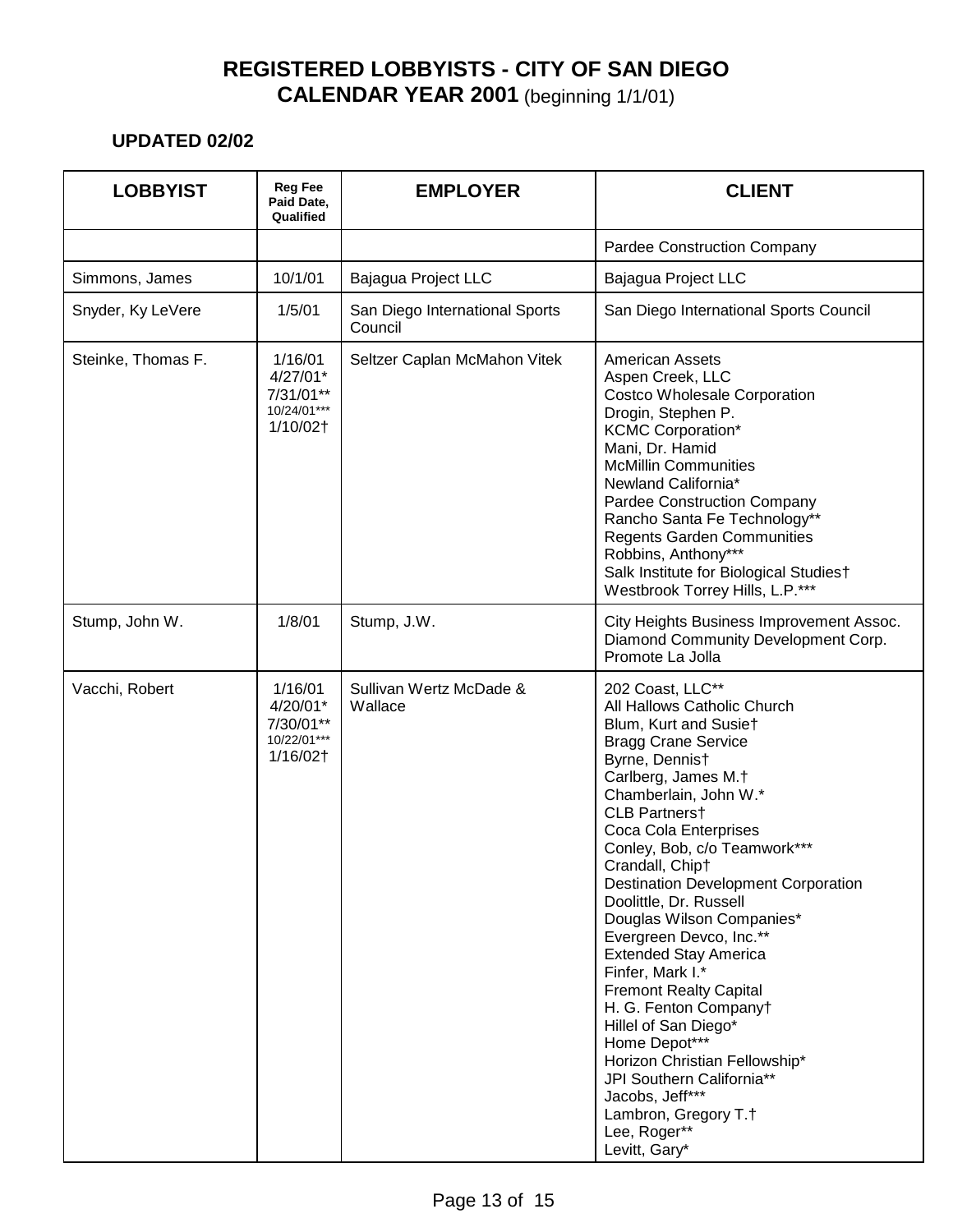| <b>LOBBYIST</b>    | <b>Reg Fee</b><br>Paid Date,<br>Qualified                       | <b>EMPLOYER</b>                           | <b>CLIENT</b>                                                                                                                                                                                                                                                                                                                                                                                                                                                                                                                                                                                                                                                                                          |
|--------------------|-----------------------------------------------------------------|-------------------------------------------|--------------------------------------------------------------------------------------------------------------------------------------------------------------------------------------------------------------------------------------------------------------------------------------------------------------------------------------------------------------------------------------------------------------------------------------------------------------------------------------------------------------------------------------------------------------------------------------------------------------------------------------------------------------------------------------------------------|
|                    |                                                                 |                                           | <b>Pardee Construction Company</b>                                                                                                                                                                                                                                                                                                                                                                                                                                                                                                                                                                                                                                                                     |
| Simmons, James     | 10/1/01                                                         | Bajagua Project LLC                       | Bajagua Project LLC                                                                                                                                                                                                                                                                                                                                                                                                                                                                                                                                                                                                                                                                                    |
| Snyder, Ky LeVere  | 1/5/01                                                          | San Diego International Sports<br>Council | San Diego International Sports Council                                                                                                                                                                                                                                                                                                                                                                                                                                                                                                                                                                                                                                                                 |
| Steinke, Thomas F. | 1/16/01<br>$4/27/01*$<br>7/31/01**<br>$10/24/01***$<br>1/10/02† | Seltzer Caplan McMahon Vitek              | <b>American Assets</b><br>Aspen Creek, LLC<br><b>Costco Wholesale Corporation</b><br>Drogin, Stephen P.<br><b>KCMC Corporation*</b><br>Mani, Dr. Hamid<br><b>McMillin Communities</b><br>Newland California*<br>Pardee Construction Company<br>Rancho Santa Fe Technology**<br><b>Regents Garden Communities</b><br>Robbins, Anthony***<br>Salk Institute for Biological Studies†<br>Westbrook Torrey Hills, L.P.***                                                                                                                                                                                                                                                                                   |
| Stump, John W.     | 1/8/01                                                          | Stump, J.W.                               | City Heights Business Improvement Assoc.<br>Diamond Community Development Corp.<br>Promote La Jolla                                                                                                                                                                                                                                                                                                                                                                                                                                                                                                                                                                                                    |
| Vacchi, Robert     | 1/16/01<br>4/20/01*<br>7/30/01**<br>10/22/01***<br>1/16/02†     | Sullivan Wertz McDade &<br>Wallace        | 202 Coast, LLC**<br>All Hallows Catholic Church<br>Blum, Kurt and Susiet<br><b>Bragg Crane Service</b><br>Byrne, Dennist<br>Carlberg, James M.†<br>Chamberlain, John W.*<br>CLB Partners†<br>Coca Cola Enterprises<br>Conley, Bob, c/o Teamwork***<br>Crandall, Chip†<br><b>Destination Development Corporation</b><br>Doolittle, Dr. Russell<br>Douglas Wilson Companies*<br>Evergreen Devco, Inc.**<br><b>Extended Stay America</b><br>Finfer, Mark I.*<br><b>Fremont Realty Capital</b><br>H. G. Fenton Companyt<br>Hillel of San Diego*<br>Home Depot***<br>Horizon Christian Fellowship*<br>JPI Southern California**<br>Jacobs, Jeff***<br>Lambron, Gregory T.†<br>Lee, Roger**<br>Levitt, Gary* |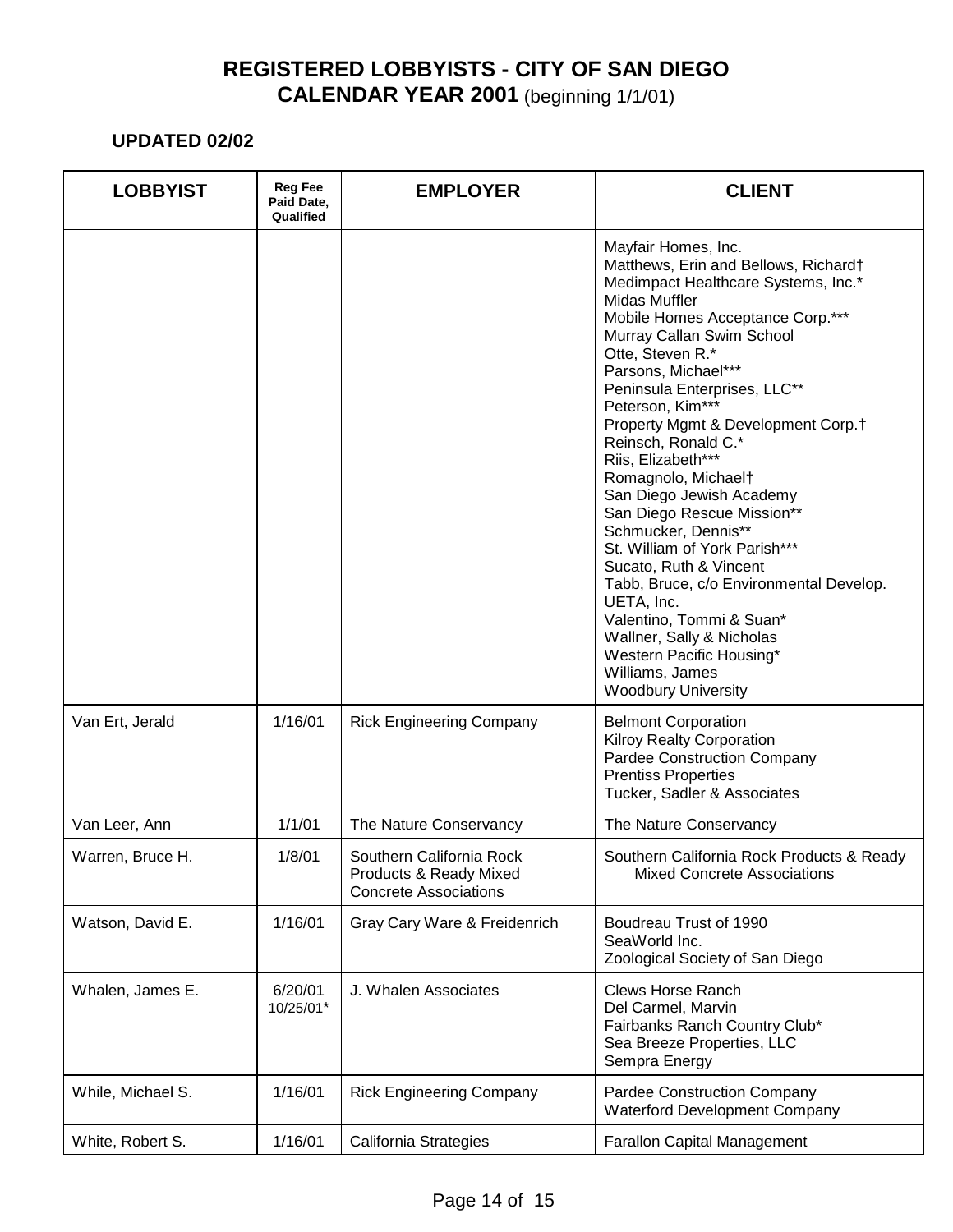| <b>LOBBYIST</b>   | <b>Reg Fee</b><br>Paid Date,<br>Qualified | <b>EMPLOYER</b>                                                                    | <b>CLIENT</b>                                                                                                                                                                                                                                                                                                                                                                                                                                                                                                                                                                                                                                                                                                                            |
|-------------------|-------------------------------------------|------------------------------------------------------------------------------------|------------------------------------------------------------------------------------------------------------------------------------------------------------------------------------------------------------------------------------------------------------------------------------------------------------------------------------------------------------------------------------------------------------------------------------------------------------------------------------------------------------------------------------------------------------------------------------------------------------------------------------------------------------------------------------------------------------------------------------------|
|                   |                                           |                                                                                    | Mayfair Homes, Inc.<br>Matthews, Erin and Bellows, Richard†<br>Medimpact Healthcare Systems, Inc.*<br>Midas Muffler<br>Mobile Homes Acceptance Corp.***<br>Murray Callan Swim School<br>Otte, Steven R.*<br>Parsons, Michael***<br>Peninsula Enterprises, LLC**<br>Peterson, Kim***<br>Property Mgmt & Development Corp.†<br>Reinsch, Ronald C.*<br>Riis, Elizabeth***<br>Romagnolo, Michaelt<br>San Diego Jewish Academy<br>San Diego Rescue Mission**<br>Schmucker, Dennis**<br>St. William of York Parish***<br>Sucato, Ruth & Vincent<br>Tabb, Bruce, c/o Environmental Develop.<br>UETA, Inc.<br>Valentino, Tommi & Suan*<br>Wallner, Sally & Nicholas<br>Western Pacific Housing*<br>Williams, James<br><b>Woodbury University</b> |
| Van Ert, Jerald   | 1/16/01                                   | <b>Rick Engineering Company</b>                                                    | <b>Belmont Corporation</b><br><b>Kilroy Realty Corporation</b><br>Pardee Construction Company<br><b>Prentiss Properties</b><br>Tucker, Sadler & Associates                                                                                                                                                                                                                                                                                                                                                                                                                                                                                                                                                                               |
| Van Leer, Ann     | 1/1/01                                    | The Nature Conservancy                                                             | The Nature Conservancy                                                                                                                                                                                                                                                                                                                                                                                                                                                                                                                                                                                                                                                                                                                   |
| Warren, Bruce H.  | 1/8/01                                    | Southern California Rock<br>Products & Ready Mixed<br><b>Concrete Associations</b> | Southern California Rock Products & Ready<br><b>Mixed Concrete Associations</b>                                                                                                                                                                                                                                                                                                                                                                                                                                                                                                                                                                                                                                                          |
| Watson, David E.  | 1/16/01                                   | Gray Cary Ware & Freidenrich                                                       | Boudreau Trust of 1990<br>SeaWorld Inc.<br>Zoological Society of San Diego                                                                                                                                                                                                                                                                                                                                                                                                                                                                                                                                                                                                                                                               |
| Whalen, James E.  | 6/20/01<br>10/25/01*                      | J. Whalen Associates                                                               | <b>Clews Horse Ranch</b><br>Del Carmel, Marvin<br>Fairbanks Ranch Country Club*<br>Sea Breeze Properties, LLC<br>Sempra Energy                                                                                                                                                                                                                                                                                                                                                                                                                                                                                                                                                                                                           |
| While, Michael S. | 1/16/01                                   | <b>Rick Engineering Company</b>                                                    | Pardee Construction Company<br><b>Waterford Development Company</b>                                                                                                                                                                                                                                                                                                                                                                                                                                                                                                                                                                                                                                                                      |
| White, Robert S.  | 1/16/01                                   | California Strategies                                                              | <b>Farallon Capital Management</b>                                                                                                                                                                                                                                                                                                                                                                                                                                                                                                                                                                                                                                                                                                       |